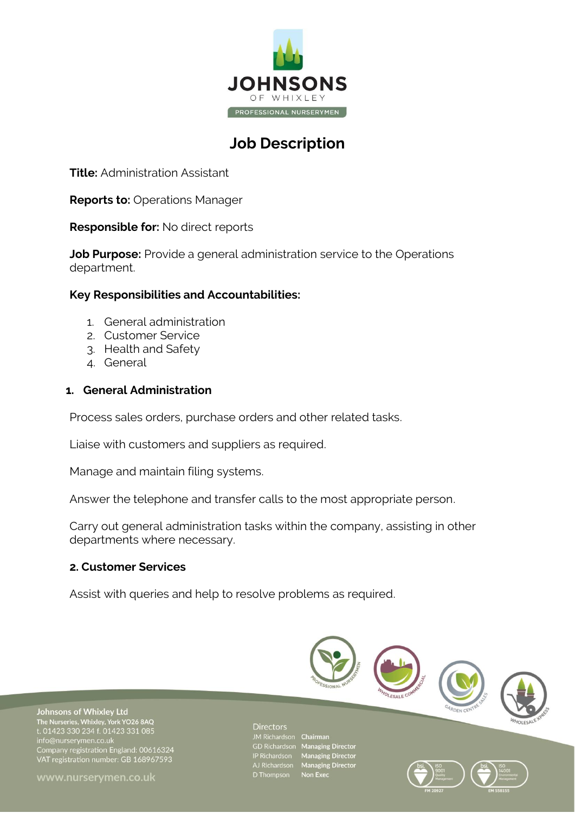

# **Job Description**

**Title:** Administration Assistant

**Reports to:** Operations Manager

**Responsible for:** No direct reports

**Job Purpose:** Provide a general administration service to the Operations department.

# **Key Responsibilities and Accountabilities:**

- 1. General administration
- 2. Customer Service
- 3. Health and Safety
- 4. General

## **1. General Administration**

Process sales orders, purchase orders and other related tasks.

Liaise with customers and suppliers as required.

Manage and maintain filing systems.

Answer the telephone and transfer calls to the most appropriate person.

Carry out general administration tasks within the company, assisting in other departments where necessary.

### **2. Customer Services**

Assist with queries and help to resolve problems as required.



Johnsons of Whixley Ltd The Nurseries, Whixley, York YO26 8AQ<br>t. 01423 330 234 f. 01423 331 085<br>info@nurserymen.co.uk Company registration England: 00616324<br>VAT registration number: GB 168967593

Directors<br>
JM Richardson Chairman<br>
GD Richardson Managing Director<br>
IP Richardson Managing Director<br>
AJ Richardson Managing Director<br>
D Thompson Non Exec